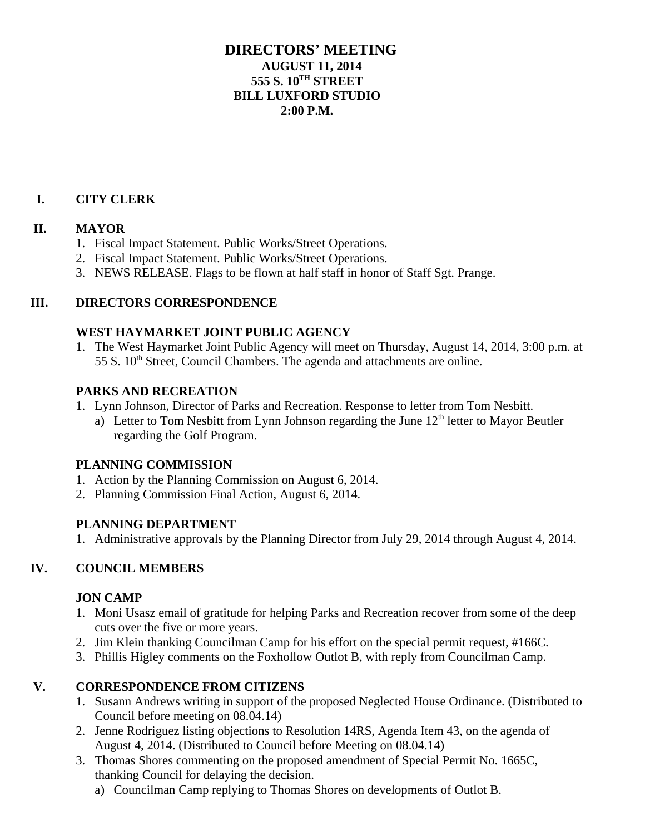# **DIRECTORS' MEETING AUGUST 11, 2014 555 S. 10TH STREET BILL LUXFORD STUDIO 2:00 P.M.**

## **I. CITY CLERK**

### **II. MAYOR**

- 1. Fiscal Impact Statement. Public Works/Street Operations.
- 2. Fiscal Impact Statement. Public Works/Street Operations.
- 3. NEWS RELEASE. Flags to be flown at half staff in honor of Staff Sgt. Prange.

### **III. DIRECTORS CORRESPONDENCE**

#### **WEST HAYMARKET JOINT PUBLIC AGENCY**

1. The West Haymarket Joint Public Agency will meet on Thursday, August 14, 2014, 3:00 p.m. at 55 S. 10<sup>th</sup> Street, Council Chambers. The agenda and attachments are online.

#### **PARKS AND RECREATION**

- 1. Lynn Johnson, Director of Parks and Recreation. Response to letter from Tom Nesbitt.
	- a) Letter to Tom Nesbitt from Lynn Johnson regarding the June 12<sup>th</sup> letter to Mayor Beutler regarding the Golf Program.

### **PLANNING COMMISSION**

- 1. Action by the Planning Commission on August 6, 2014.
- 2. Planning Commission Final Action, August 6, 2014.

### **PLANNING DEPARTMENT**

1. Administrative approvals by the Planning Director from July 29, 2014 through August 4, 2014.

### **IV. COUNCIL MEMBERS**

### **JON CAMP**

- 1. Moni Usasz email of gratitude for helping Parks and Recreation recover from some of the deep cuts over the five or more years.
- 2. Jim Klein thanking Councilman Camp for his effort on the special permit request, #166C.
- 3. Phillis Higley comments on the Foxhollow Outlot B, with reply from Councilman Camp.

### **V. CORRESPONDENCE FROM CITIZENS**

- 1. Susann Andrews writing in support of the proposed Neglected House Ordinance. (Distributed to Council before meeting on 08.04.14)
- 2. Jenne Rodriguez listing objections to Resolution 14RS, Agenda Item 43, on the agenda of August 4, 2014. (Distributed to Council before Meeting on 08.04.14)
- 3. Thomas Shores commenting on the proposed amendment of Special Permit No. 1665C, thanking Council for delaying the decision.
	- a) Councilman Camp replying to Thomas Shores on developments of Outlot B.